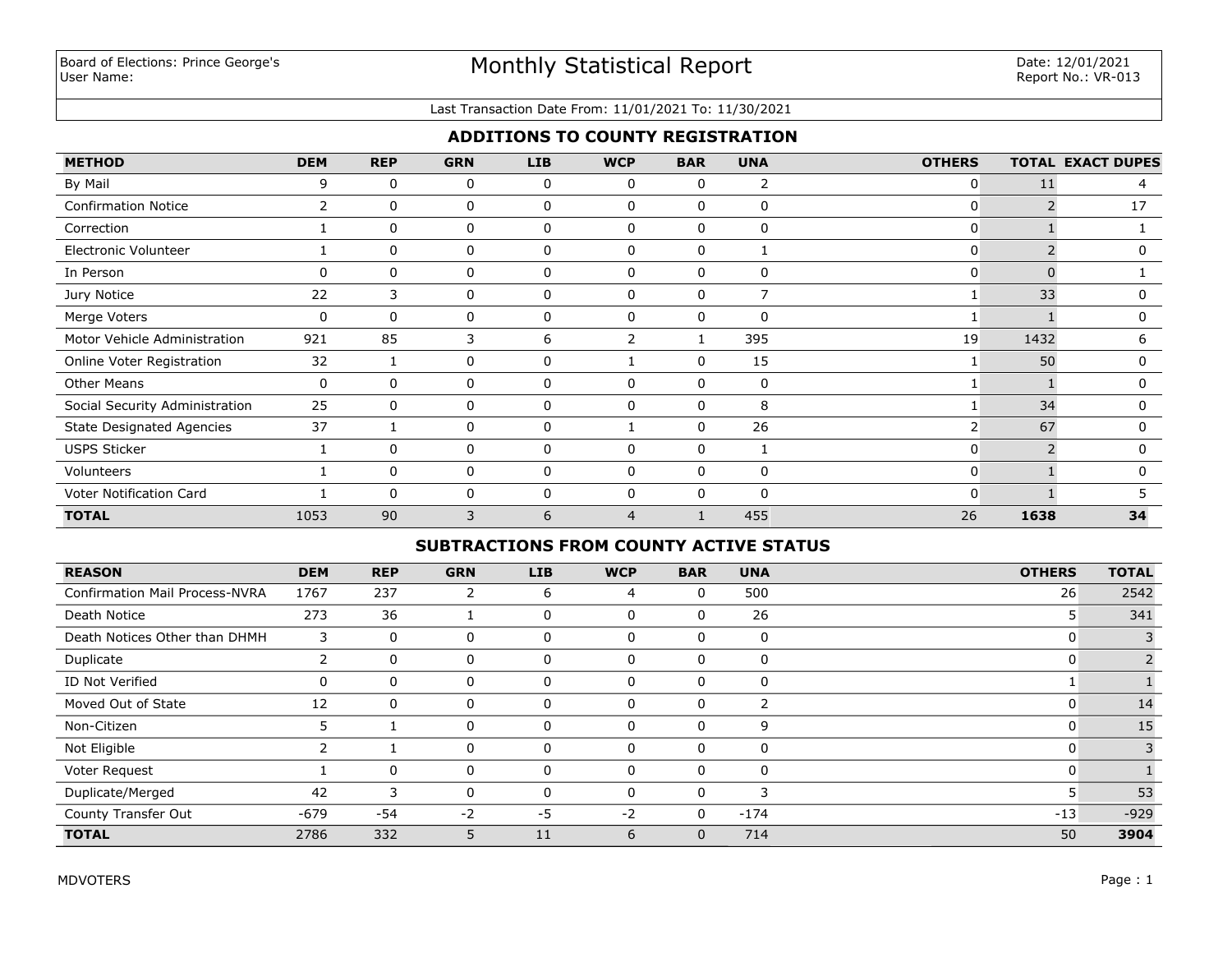### Last Transaction Date From: 11/01/2021 To: 11/30/2021

# **ADDITIONS TO COUNTY REGISTRATION**

| <b>METHOD</b>                    | <b>DEM</b>     | <b>REP</b>   | <b>GRN</b> | <b>LIB</b> | <b>WCP</b>   | <b>BAR</b> | <b>UNA</b>   | <b>OTHERS</b>  |          | <b>TOTAL EXACT DUPES</b> |
|----------------------------------|----------------|--------------|------------|------------|--------------|------------|--------------|----------------|----------|--------------------------|
| By Mail                          | 9              | $\mathbf{0}$ | 0          | 0          | $\mathbf{0}$ | 0          | 2            | 0              | 11       | 4                        |
| <b>Confirmation Notice</b>       | $\overline{2}$ | $\Omega$     | 0          | 0          | <sup>0</sup> | $\Omega$   | 0            | O              |          | 17                       |
| Correction                       |                | n            | 0          | 0          | n            | 0          | $\mathbf 0$  | 0              |          |                          |
| Electronic Volunteer             |                | $\mathbf{0}$ | 0          | 0          | $\mathbf{0}$ | $\Omega$   | $\mathbf{1}$ | 0              |          | 0                        |
| In Person                        | 0              | 0            | 0          | 0          | 0            | 0          | 0            | 0              | $\Omega$ |                          |
| Jury Notice                      | 22             | 3            | 0          | 0          | 0            | 0          | 7            |                | 33       | 0                        |
| Merge Voters                     | $\mathbf 0$    | $\Omega$     | 0          | 0          | $\Omega$     | $\Omega$   | $\mathbf{0}$ |                |          | 0                        |
| Motor Vehicle Administration     | 921            | 85           | 3          | 6          |              |            | 395          | 19             | 1432     | 6                        |
| Online Voter Registration        | 32             |              | 0          | 0          |              | $\Omega$   | 15           |                | 50       | 0                        |
| <b>Other Means</b>               | 0              | $\Omega$     | 0          | 0          | $\Omega$     | $\Omega$   | $\mathbf 0$  |                |          | $\Omega$                 |
| Social Security Administration   | 25             | 0            | 0          | 0          | $\Omega$     | $\Omega$   | 8            |                | 34       | 0                        |
| <b>State Designated Agencies</b> | 37             |              | 0          | 0          |              | $\Omega$   | 26           | $\overline{2}$ | 67       | 0                        |
| <b>USPS Sticker</b>              |                | 0            | 0          | 0          | 0            | 0          | $\mathbf{1}$ | 0              |          | 0                        |
| Volunteers                       |                | 0            | 0          | 0          | 0            | $\Omega$   | $\mathbf 0$  | 0              |          | 0                        |
| Voter Notification Card          |                | $\Omega$     | 0          | 0          | $\mathbf{0}$ | $\Omega$   | $\Omega$     | 0              |          |                          |
| <b>TOTAL</b>                     | 1053           | 90           | 3          | 6          | 4            |            | 455          | 26             | 1638     | 34                       |

# **SUBTRACTIONS FROM COUNTY ACTIVE STATUS**

| <b>REASON</b>                         | <b>DEM</b> | <b>REP</b>  | <b>GRN</b> | LIB      | <b>WCP</b>   | <b>BAR</b>   | <b>UNA</b> | <b>OTHERS</b> | <b>TOTAL</b> |
|---------------------------------------|------------|-------------|------------|----------|--------------|--------------|------------|---------------|--------------|
| <b>Confirmation Mail Process-NVRA</b> | 1767       | 237         | 2          | 6        | 4            | 0            | 500        | 26            | 2542         |
| Death Notice                          | 273        | 36          |            | 0        | $\mathbf{0}$ | 0            | 26         | 5             | 341          |
| Death Notices Other than DHMH         | 3          | $\mathbf 0$ | 0          | 0        | $\mathbf 0$  | 0            | 0          |               |              |
| Duplicate                             |            | 0           | 0          | $\Omega$ | $\mathbf 0$  | 0            | 0          |               |              |
| ID Not Verified                       | 0          | 0           | 0          | 0        | $\Omega$     | 0            | 0          |               |              |
| Moved Out of State                    | 12         | 0           | 0          | $\Omega$ | $\Omega$     | 0            |            | U             | 14           |
| Non-Citizen                           | 5          |             | 0          | $\Omega$ | $\mathbf 0$  | 0            | 9          | 0             | 15           |
| Not Eligible                          |            |             | 0          |          | $\Omega$     | 0            | 0          | C             |              |
| Voter Request                         |            | $\mathbf 0$ | $\Omega$   | $\Omega$ | $\Omega$     | 0            | 0          | C             |              |
| Duplicate/Merged                      | 42         | 3           | 0          |          | $\Omega$     | 0            | 3          |               | 53           |
| County Transfer Out                   | $-679$     | -54         | $-2$       | $-5$     | $-2$         | 0            | $-174$     | $-13$         | $-929$       |
| <b>TOTAL</b>                          | 2786       | 332         | 5.         | 11       | 6            | $\mathbf{0}$ | 714        | 50            | 3904         |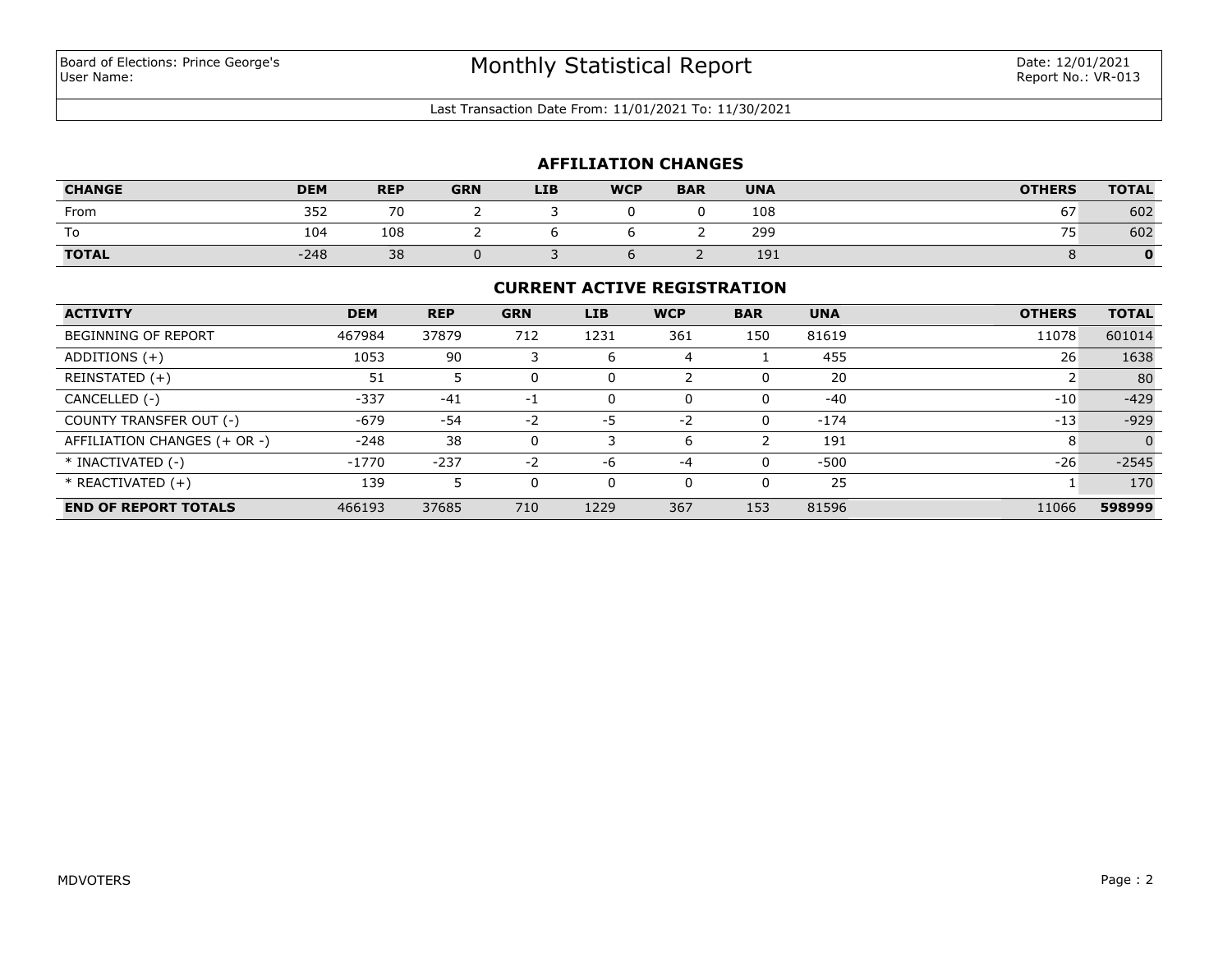Last Transaction Date From: 11/01/2021 To: 11/30/2021

## **AFFILIATION CHANGES**

| <b>CHANGE</b> | <b>DEM</b> | <b>REP</b> | <b>GRN</b> | <b>LIB</b> | <b>WCP</b> | <b>BAR</b> | <b>UNA</b> | <b>OTHERS</b>  | <b>TOTAL</b> |
|---------------|------------|------------|------------|------------|------------|------------|------------|----------------|--------------|
| From          | 352        | 70         |            |            |            |            | 108        | --<br>67       | 602          |
| To            | 104        | 108        |            |            |            |            | 299        | --<br>ᄼ<br>ر ہ | 602          |
| <b>TOTAL</b>  | $-248$     | 38         |            |            |            |            | 191        |                |              |

### **CURRENT ACTIVE REGISTRATION**

| <b>ACTIVITY</b>              | <b>DEM</b> | <b>REP</b> | <b>GRN</b> | <b>LIB</b> | <b>WCP</b> | <b>BAR</b> | <b>UNA</b> | <b>OTHERS</b> | <b>TOTAL</b> |
|------------------------------|------------|------------|------------|------------|------------|------------|------------|---------------|--------------|
| <b>BEGINNING OF REPORT</b>   | 467984     | 37879      | 712        | 1231       | 361        | 150        | 81619      | 11078         | 601014       |
| ADDITIONS $(+)$              | 1053       | 90         |            | 6          | 4          |            | 455        | 26            | 1638         |
| REINSTATED (+)               | 51         |            | 0          |            |            |            | 20         |               | 80           |
| CANCELLED (-)                | $-337$     | $-41$      | $-1$       | 0          | 0          | 0          | $-40$      | $-10$         | $-429$       |
| COUNTY TRANSFER OUT (-)      | $-679$     | $-54$      | $-2$       | -5         | $-2$       | 0          | $-174$     | $-13$         | $-929$       |
| AFFILIATION CHANGES (+ OR -) | $-248$     | 38         | 0          |            | 6          |            | 191        | 8             | $\Omega$     |
| * INACTIVATED (-)            | $-1770$    | $-237$     | $-2$       | $-6$       | $-4$       | 0          | $-500$     | $-26$         | $-2545$      |
| $*$ REACTIVATED $(+)$        | 139        |            | 0          |            | 0          |            | 25         |               | 170          |
| <b>END OF REPORT TOTALS</b>  | 466193     | 37685      | 710        | 1229       | 367        | 153        | 81596      | 11066         | 598999       |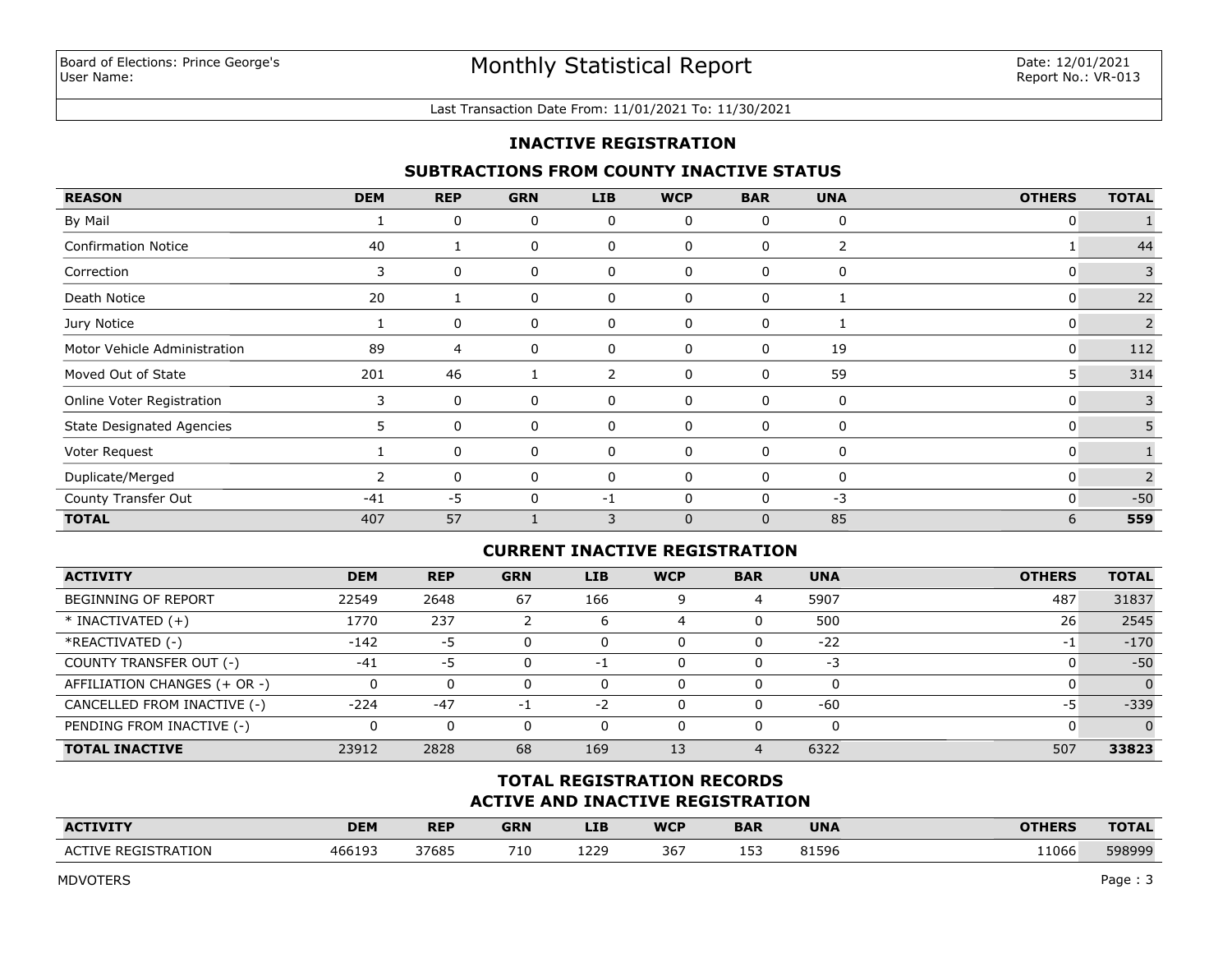#### Last Transaction Date From: 11/01/2021 To: 11/30/2021

## **INACTIVE REGISTRATION**

## **SUBTRACTIONS FROM COUNTY INACTIVE STATUS**

| <b>REASON</b>                    | <b>DEM</b>     | <b>REP</b> | <b>GRN</b> | <b>LIB</b>     | <b>WCP</b>  | <b>BAR</b>   | <b>UNA</b> | <b>OTHERS</b> | <b>TOTAL</b> |
|----------------------------------|----------------|------------|------------|----------------|-------------|--------------|------------|---------------|--------------|
| By Mail                          |                | 0          | 0          | 0              | 0           | $\mathbf{0}$ | 0          | 0             |              |
| <b>Confirmation Notice</b>       | 40             |            | 0          | 0              | 0           | 0            | 2          |               | 44           |
| Correction                       | 3              | 0          | 0          | 0              | 0           | 0            | 0          | 0             | 3            |
| Death Notice                     | 20             |            | 0          | 0              | 0           | 0            |            | 0             | 22           |
| Jury Notice                      |                | 0          | 0          | 0              | 0           | 0            |            | 0             | 2            |
| Motor Vehicle Administration     | 89             | 4          | 0          | 0              | 0           | 0            | 19         | 0             | 112          |
| Moved Out of State               | 201            | 46         |            | $\overline{2}$ | 0           | 0            | 59         | 5             | 314          |
| Online Voter Registration        | 3              | 0          | 0          | 0              | 0           | 0            | 0          | 0             | 3            |
| <b>State Designated Agencies</b> | 5.             | 0          | 0          | 0              | 0           | 0            | 0          | 0             | 5            |
| Voter Request                    |                | 0          | 0          | 0              | 0           | 0            | 0          | 0             |              |
| Duplicate/Merged                 | $\overline{2}$ | 0          | 0          | 0              | 0           | 0            | 0          | 0             | 2            |
| County Transfer Out              | $-41$          | $-5$       | 0          | -1             | 0           | 0            | $-3$       | 0             | $-50$        |
| <b>TOTAL</b>                     | 407            | 57         |            | 3              | $\mathbf 0$ | $\mathbf{0}$ | 85         | 6             | 559          |

### **CURRENT INACTIVE REGISTRATION**

| <b>ACTIVITY</b>              | <b>DEM</b> | <b>REP</b> | <b>GRN</b> | LIB. | <b>WCP</b> | <b>BAR</b>     | <b>UNA</b> | <b>OTHERS</b> | <b>TOTAL</b> |
|------------------------------|------------|------------|------------|------|------------|----------------|------------|---------------|--------------|
| BEGINNING OF REPORT          | 22549      | 2648       | 67         | 166  | 9          | 4              | 5907       | 487           | 31837        |
| $*$ INACTIVATED $(+)$        | 1770       | 237        |            | ь    |            |                | 500        | 26            | 2545         |
| *REACTIVATED (-)             | $-142$     | -5         | $\Omega$   |      | 0          |                | $-22$      | $-1$          | $-170$       |
| COUNTY TRANSFER OUT (-)      | $-41$      | -5         | $\Omega$   | - 1  | O          |                | -3         |               | $-50$        |
| AFFILIATION CHANGES (+ OR -) |            |            | $\Omega$   |      | 0          |                | 0          |               | $\Omega$     |
| CANCELLED FROM INACTIVE (-)  | $-224$     | $-47$      | -1         | -2   | 0          |                | $-60$      | -5            | $-339$       |
| PENDING FROM INACTIVE (-)    |            | 0          | $\Omega$   | 0    | 0          |                | 0          |               |              |
| <b>TOTAL INACTIVE</b>        | 23912      | 2828       | 68         | 169  | 13         | $\overline{4}$ | 6322       | 507           | 33823        |

# **ACTIVE AND INACTIVE REGISTRATION TOTAL REGISTRATION RECORDS**

| <b>ACTIVITY</b>                                        | <b>DEM</b> | <b>REP</b> | <b>GRN</b> | LIB  | <b>WCP</b> | <b>BAR</b> | <b>UNA</b> | <b>OTHERS</b> | <b>TOTAL</b> |
|--------------------------------------------------------|------------|------------|------------|------|------------|------------|------------|---------------|--------------|
| <b><i>FRATION</i></b><br>-GIST'<br><b>ICTIVE</b><br>D. | 46619?     | 37685      | 710        | 1229 | 367        | ∸          | 81596      | 11066         | 598999       |